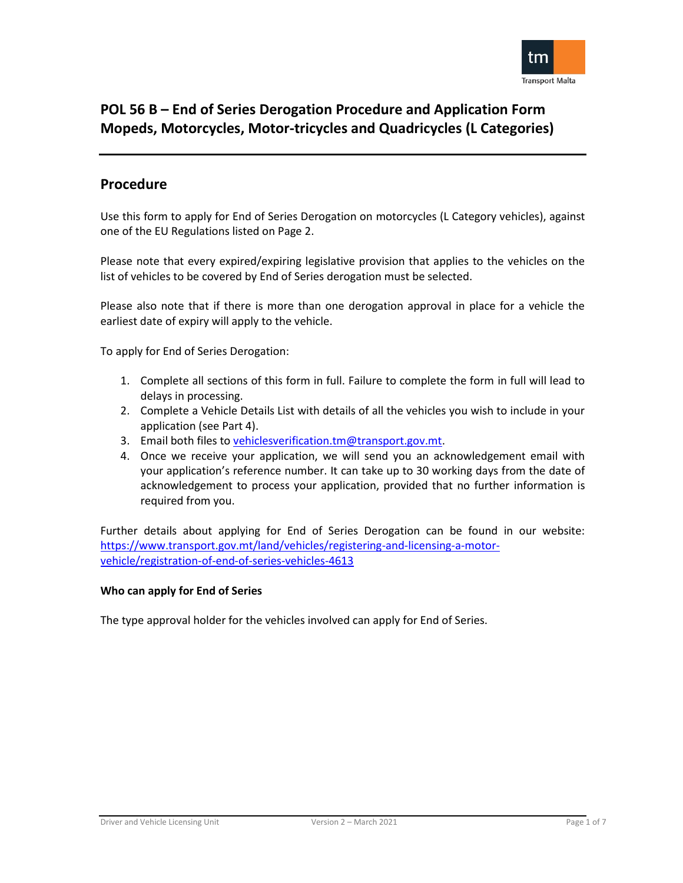

## **Procedure**

Use this form to apply for End of Series Derogation on motorcycles (L Category vehicles), against one of the EU Regulations listed on Page 2.

Please note that every expired/expiring legislative provision that applies to the vehicles on the list of vehicles to be covered by End of Series derogation must be selected.

Please also note that if there is more than one derogation approval in place for a vehicle the earliest date of expiry will apply to the vehicle.

To apply for End of Series Derogation:

- 1. Complete all sections of this form in full. Failure to complete the form in full will lead to delays in processing.
- 2. Complete a Vehicle Details List with details of all the vehicles you wish to include in your application (see Part 4).
- 3. Email both files to [vehiclesverification.tm@transport.gov.mt.](mailto:vehiclesverification.tm@transport.gov.mt)
- 4. Once we receive your application, we will send you an acknowledgement email with your application's reference number. It can take up to 30 working days from the date of acknowledgement to process your application, provided that no further information is required from you.

Further details about applying for End of Series Derogation can be found in our website: [https://www.transport.gov.mt/land/vehicles/registering-and-licensing-a-motor](https://www.transport.gov.mt/land/vehicles/registering-and-licensing-a-motor-vehicle/registration-of-end-of-series-vehicles-4613)[vehicle/registration-of-end-of-series-vehicles-4613](https://www.transport.gov.mt/land/vehicles/registering-and-licensing-a-motor-vehicle/registration-of-end-of-series-vehicles-4613)

### **Who can apply for End of Series**

The type approval holder for the vehicles involved can apply for End of Series.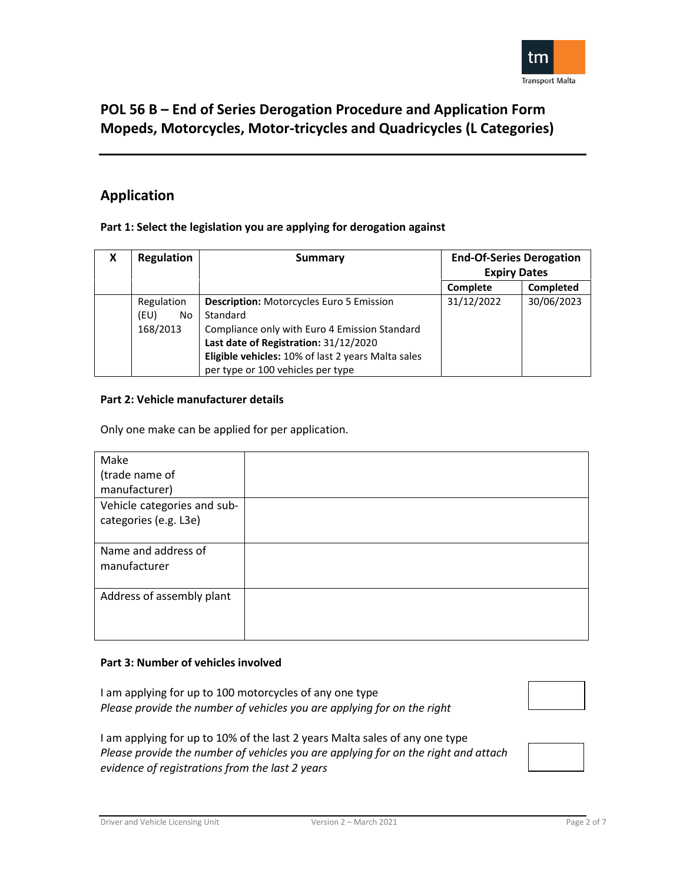

## **Application**

### **Part 1: Select the legislation you are applying for derogation against**

| X | <b>Regulation</b> | Summary                                            | <b>End-Of-Series Derogation</b> |            |
|---|-------------------|----------------------------------------------------|---------------------------------|------------|
|   |                   |                                                    | <b>Expiry Dates</b>             |            |
|   |                   |                                                    | Complete                        | Completed  |
|   | Regulation        | <b>Description: Motorcycles Euro 5 Emission</b>    | 31/12/2022                      | 30/06/2023 |
|   | (EU)<br>No        | Standard                                           |                                 |            |
|   | 168/2013          | Compliance only with Euro 4 Emission Standard      |                                 |            |
|   |                   | Last date of Registration: 31/12/2020              |                                 |            |
|   |                   | Eligible vehicles: 10% of last 2 years Malta sales |                                 |            |
|   |                   | per type or 100 vehicles per type                  |                                 |            |

### **Part 2: Vehicle manufacturer details**

Only one make can be applied for per application.

| Make                        |  |
|-----------------------------|--|
| (trade name of              |  |
| manufacturer)               |  |
| Vehicle categories and sub- |  |
| categories (e.g. L3e)       |  |
|                             |  |
| Name and address of         |  |
| manufacturer                |  |
|                             |  |
| Address of assembly plant   |  |
|                             |  |
|                             |  |

### **Part 3: Number of vehicles involved**

I am applying for up to 100 motorcycles of any one type *Please provide the number of vehicles you are applying for on the right* 

I am applying for up to 10% of the last 2 years Malta sales of any one type *Please provide the number of vehicles you are applying for on the right and attach evidence of registrations from the last 2 years*



Driver and Vehicle Licensing Unit Version 2 – March 2021 Page 2 of 7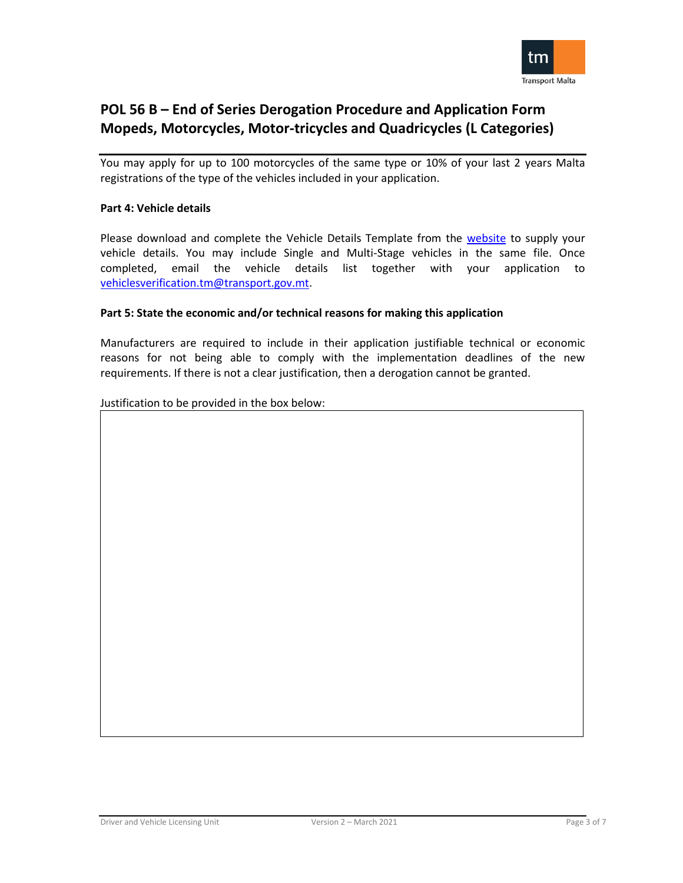

You may apply for up to 100 motorcycles of the same type or 10% of your last 2 years Malta registrations of the type of the vehicles included in your application.

### **Part 4: Vehicle details**

Please download and complete the Vehicle Details Template from the [website](https://www.transport.gov.mt/land/vehicles/registering-and-licensing-a-motor-vehicle/registration-of-end-of-series-vehicles-4613) to supply your vehicle details. You may include Single and Multi-Stage vehicles in the same file. Once completed, email the vehicle details list together with your application to [vehiclesverification.tm@transport.gov.mt.](mailto:vehiclesverification.tm@transport.gov.mt)

### **Part 5: State the economic and/or technical reasons for making this application**

Manufacturers are required to include in their application justifiable technical or economic reasons for not being able to comply with the implementation deadlines of the new requirements. If there is not a clear justification, then a derogation cannot be granted.

Justification to be provided in the box below: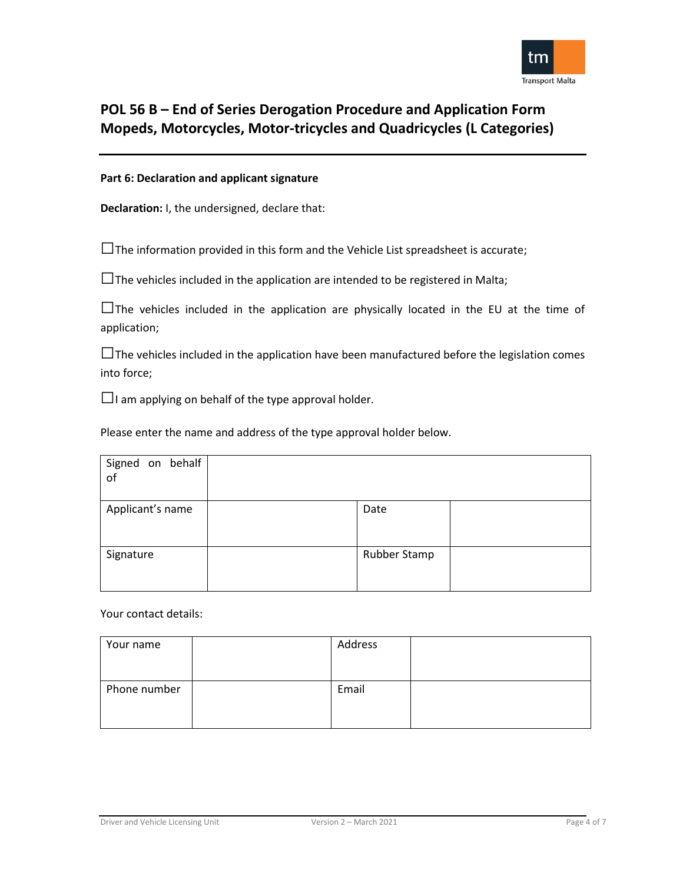

### **Part 6: Declaration and applicant signature**

**Declaration:** I, the undersigned, declare that:

 $\square$  The information provided in this form and the Vehicle List spreadsheet is accurate;

 $\square$  The vehicles included in the application are intended to be registered in Malta;

 $\square$  The vehicles included in the application are physically located in the EU at the time of application;

 $\square$  The vehicles included in the application have been manufactured before the legislation comes into force;

 $\Box$ I am applying on behalf of the type approval holder.

Please enter the name and address of the type approval holder below.

| Signed on behalf<br>of |              |  |
|------------------------|--------------|--|
| Applicant's name       | Date         |  |
| Signature              | Rubber Stamp |  |

Your contact details:

| Your name    | Address |  |
|--------------|---------|--|
|              |         |  |
| Phone number | Email   |  |
|              |         |  |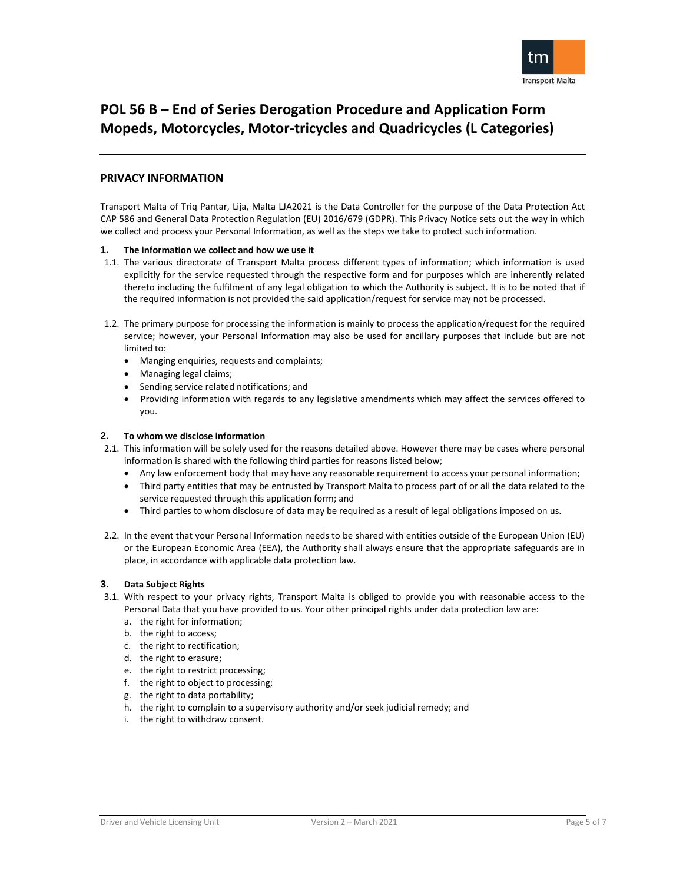

#### **PRIVACY INFORMATION**

Transport Malta of Triq Pantar, Lija, Malta LJA2021 is the Data Controller for the purpose of the Data Protection Act CAP 586 and General Data Protection Regulation (EU) 2016/679 (GDPR). This Privacy Notice sets out the way in which we collect and process your Personal Information, as well as the steps we take to protect such information.

#### **1. The information we collect and how we use it**

- 1.1. The various directorate of Transport Malta process different types of information; which information is used explicitly for the service requested through the respective form and for purposes which are inherently related thereto including the fulfilment of any legal obligation to which the Authority is subject. It is to be noted that if the required information is not provided the said application/request for service may not be processed.
- 1.2. The primary purpose for processing the information is mainly to process the application/request for the required service; however, your Personal Information may also be used for ancillary purposes that include but are not limited to:
	- Manging enquiries, requests and complaints;
	- Managing legal claims;
	- Sending service related notifications; and
	- Providing information with regards to any legislative amendments which may affect the services offered to you.

#### **2. To whom we disclose information**

- 2.1. This information will be solely used for the reasons detailed above. However there may be cases where personal information is shared with the following third parties for reasons listed below;
	- Any law enforcement body that may have any reasonable requirement to access your personal information;
	- Third party entities that may be entrusted by Transport Malta to process part of or all the data related to the service requested through this application form; and
	- Third parties to whom disclosure of data may be required as a result of legal obligations imposed on us.
- 2.2. In the event that your Personal Information needs to be shared with entities outside of the European Union (EU) or the European Economic Area (EEA), the Authority shall always ensure that the appropriate safeguards are in place, in accordance with applicable data protection law.

#### **3. Data Subject Rights**

- 3.1. With respect to your privacy rights, Transport Malta is obliged to provide you with reasonable access to the Personal Data that you have provided to us. Your other principal rights under data protection law are:
	- a. the right for information;
	- b. the right to access;
	- c. the right to rectification;
	- d. the right to erasure;
	- e. the right to restrict processing;
	- f. the right to object to processing;
	- g. the right to data portability;
	- h. the right to complain to a supervisory authority and/or seek judicial remedy; and
	- i. the right to withdraw consent.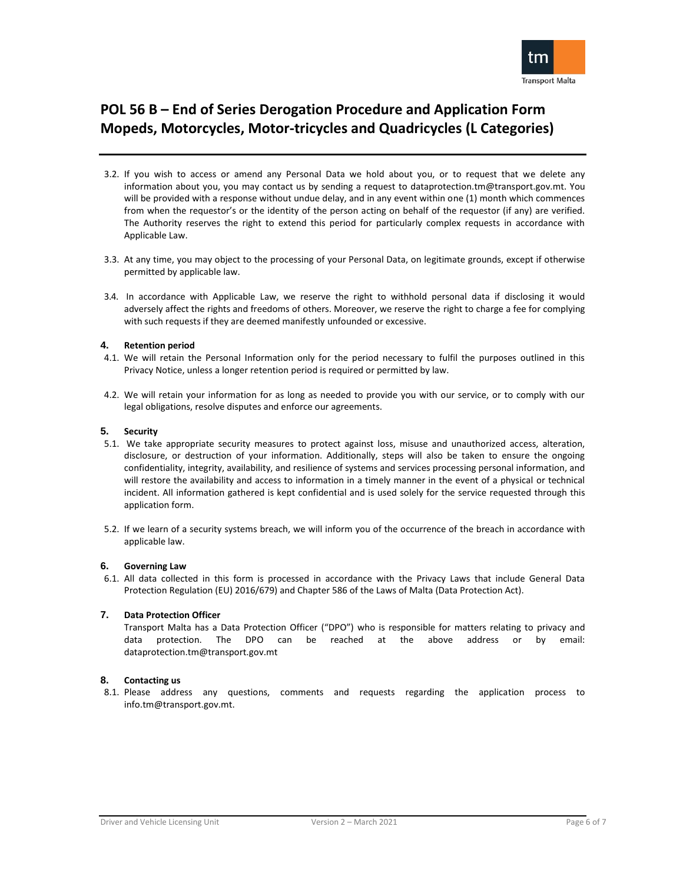

- 3.2. If you wish to access or amend any Personal Data we hold about you, or to request that we delete any information about you, you may contact us by sending a request to [dataprotection.tm@transport.gov.mt.](mailto:dataprotection.tm@transport.gov.mt) You will be provided with a response without undue delay, and in any event within one (1) month which commences from when the requestor's or the identity of the person acting on behalf of the requestor (if any) are verified. The Authority reserves the right to extend this period for particularly complex requests in accordance with Applicable Law.
- 3.3. At any time, you may object to the processing of your Personal Data, on legitimate grounds, except if otherwise permitted by applicable law.
- 3.4. In accordance with Applicable Law, we reserve the right to withhold personal data if disclosing it would adversely affect the rights and freedoms of others. Moreover, we reserve the right to charge a fee for complying with such requests if they are deemed manifestly unfounded or excessive.

#### **4. Retention period**

- 4.1. We will retain the Personal Information only for the period necessary to fulfil the purposes outlined in this Privacy Notice, unless a longer retention period is required or permitted by law.
- 4.2. We will retain your information for as long as needed to provide you with our service, or to comply with our legal obligations, resolve disputes and enforce our agreements.

#### **5. Security**

- 5.1. We take appropriate security measures to protect against loss, misuse and unauthorized access, alteration, disclosure, or destruction of your information. Additionally, steps will also be taken to ensure the ongoing confidentiality, integrity, availability, and resilience of systems and services processing personal information, and will restore the availability and access to information in a timely manner in the event of a physical or technical incident. All information gathered is kept confidential and is used solely for the service requested through this application form.
- 5.2. If we learn of a security systems breach, we will inform you of the occurrence of the breach in accordance with applicable law.

#### **6. Governing Law**

6.1. All data collected in this form is processed in accordance with the Privacy Laws that include General Data Protection Regulation (EU) 2016/679) and Chapter 586 of the Laws of Malta (Data Protection Act).

#### **7. Data Protection Officer**

Transport Malta has a Data Protection Officer ("DPO") who is responsible for matters relating to privacy and data protection. The DPO can be reached at the above address or by email: [dataprotection.tm@transport.gov.mt](mailto:dataprotection.tm@transport.gov.mt)

#### **8. Contacting us**

8.1. Please address any questions, comments and requests regarding the application process to [info.tm@transport.gov.mt.](mailto:info.tm@transport.gov.mt)